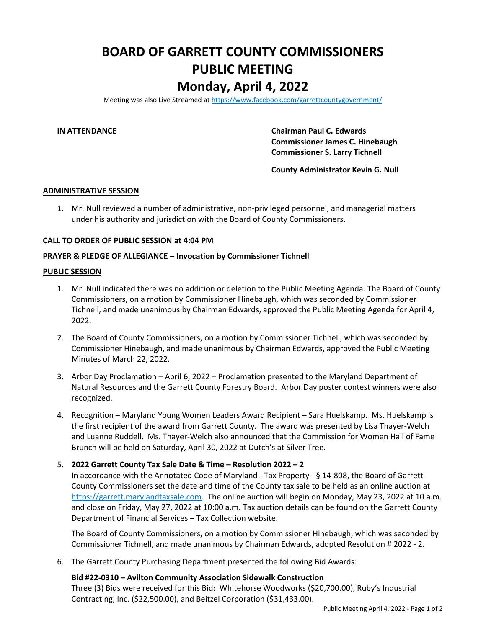# **BOARD OF GARRETT COUNTY COMMISSIONERS PUBLIC MEETING Monday, April 4, 2022**

Meeting was also Live Streamed a[t https://www.facebook.com/garrettcountygovernment/](https://www.facebook.com/garrettcountygovernment/)

**IN ATTENDANCE Chairman Paul C. Edwards Commissioner James C. Hinebaugh Commissioner S. Larry Tichnell**

**County Administrator Kevin G. Null**

### **ADMINISTRATIVE SESSION**

1. Mr. Null reviewed a number of administrative, non-privileged personnel, and managerial matters under his authority and jurisdiction with the Board of County Commissioners.

### **CALL TO ORDER OF PUBLIC SESSION at 4:04 PM**

### **PRAYER & PLEDGE OF ALLEGIANCE – Invocation by Commissioner Tichnell**

#### **PUBLIC SESSION**

- 1. Mr. Null indicated there was no addition or deletion to the Public Meeting Agenda. The Board of County Commissioners, on a motion by Commissioner Hinebaugh, which was seconded by Commissioner Tichnell, and made unanimous by Chairman Edwards, approved the Public Meeting Agenda for April 4, 2022.
- 2. The Board of County Commissioners, on a motion by Commissioner Tichnell, which was seconded by Commissioner Hinebaugh, and made unanimous by Chairman Edwards, approved the Public Meeting Minutes of March 22, 2022.
- 3. Arbor Day Proclamation April 6, 2022 Proclamation presented to the Maryland Department of Natural Resources and the Garrett County Forestry Board. Arbor Day poster contest winners were also recognized.
- 4. Recognition Maryland Young Women Leaders Award Recipient Sara Huelskamp. Ms. Huelskamp is the first recipient of the award from Garrett County. The award was presented by Lisa Thayer-Welch and Luanne Ruddell. Ms. Thayer-Welch also announced that the Commission for Women Hall of Fame Brunch will be held on Saturday, April 30, 2022 at Dutch's at Silver Tree.

# 5. **2022 Garrett County Tax Sale Date & Time – Resolution 2022 – 2**

In accordance with the Annotated Code of Maryland - Tax Property - § 14-808, the Board of Garrett County Commissioners set the date and time of the County tax sale to be held as an online auction at [https://garrett.marylandtaxsale.com.](https://garrett.marylandtaxsale.com/) The online auction will begin on Monday, May 23, 2022 at 10 a.m. and close on Friday, May 27, 2022 at 10:00 a.m. Tax auction details can be found on the Garrett County Department of Financial Services – Tax Collection website.

The Board of County Commissioners, on a motion by Commissioner Hinebaugh, which was seconded by Commissioner Tichnell, and made unanimous by Chairman Edwards, adopted Resolution # 2022 - 2.

6. The Garrett County Purchasing Department presented the following Bid Awards:

# **Bid #22-0310 – Avilton Community Association Sidewalk Construction**

Three (3) Bids were received for this Bid: Whitehorse Woodworks (\$20,700.00), Ruby's Industrial Contracting, Inc. (\$22,500.00), and Beitzel Corporation (\$31,433.00).